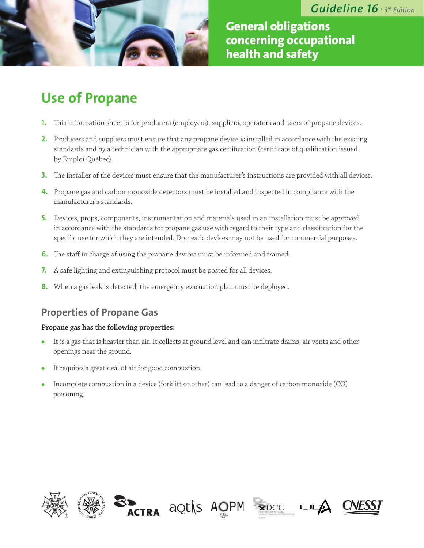

**General obligations concerning occupational health and safety**

# **Use of Propane**

- **1.** This information sheet is for producers (employers), suppliers, operators and users of propane devices.
- **2.** Producers and suppliers must ensure that any propane device is installed in accordance with the existing standards and by a technician with the appropriate gas certification (certificate of qualification issued by Emploi Québec).
- **3.** The installer of the devices must ensure that the manufacturer's instructions are provided with all devices.
- **4.** Propane gas and carbon monoxide detectors must be installed and inspected in compliance with the manufacturer's standards.
- **5.** Devices, props, components, instrumentation and materials used in an installation must be approved in accordance with the standards for propane gas use with regard to their type and classification for the specific use for which they are intended. Domestic devices may not be used for commercial purposes.
- **6.** The staff in charge of using the propane devices must be informed and trained.
- **7.** A safe lighting and extinguishing protocol must be posted for all devices.
- **8.** When a gas leak is detected, the emergency evacuation plan must be deployed.

# **Properties of Propane Gas**

### **Propane gas has the following properties:**

- It is a gas that is heavier than air. It collects at ground level and can infiltrate drains, air vents and other  $\bullet$ openings near the ground.
- It requires a great deal of air for good combustion.
- Incomplete combustion in a device (forklift or other) can lead to a danger of carbon monoxide (CO) poisoning.









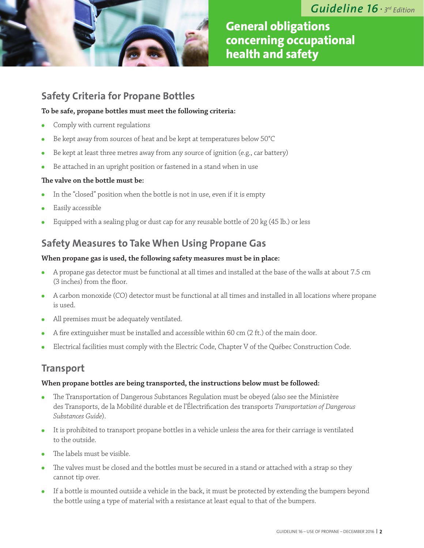

**General obligations concerning occupational health and safety**

# **Safety Criteria for Propane Bottles**

### **To be safe, propane bottles must meet the following criteria:**

- Comply with current regulations
- Be kept away from sources of heat and be kept at temperatures below 50°C  $\bullet$
- Be kept at least three metres away from any source of ignition (e.g., car battery)  $\bullet$
- Be attached in an upright position or fastened in a stand when in use  $\bullet$

### **The valve on the bottle must be:**

- In the "closed" position when the bottle is not in use, even if it is empty
- Easily accessible
- Equipped with a sealing plug or dust cap for any reusable bottle of 20 kg (45 lb.) or less

# **Safety Measures to Take When Using Propane Gas**

### **When propane gas is used, the following safety measures must be in place:**

- A propane gas detector must be functional at all times and installed at the base of the walls at about 7.5 cm (3 inches) from the floor.
- A carbon monoxide (CO) detector must be functional at all times and installed in all locations where propane is used.
- All premises must be adequately ventilated.
- A fire extinguisher must be installed and accessible within 60 cm (2 ft.) of the main door.  $\bullet$
- Electrical facilities must comply with the Electric Code, Chapter V of the Québec Construction Code.

### **Transport**

#### **When propane bottles are being transported, the instructions below must be followed:**

- The Transportation of Dangerous Substances Regulation must be obeyed (also see the Ministère des Transports, de la Mobilité durable et de l'Électrification des transports *Transportation of Dangerous Substances Guide*).
- It is prohibited to transport propane bottles in a vehicle unless the area for their carriage is ventilated to the outside.
- The labels must be visible.
- The valves must be closed and the bottles must be secured in a stand or attached with a strap so they cannot tip over.
- If a bottle is mounted outside a vehicle in the back, it must be protected by extending the bumpers beyond the bottle using a type of material with a resistance at least equal to that of the bumpers.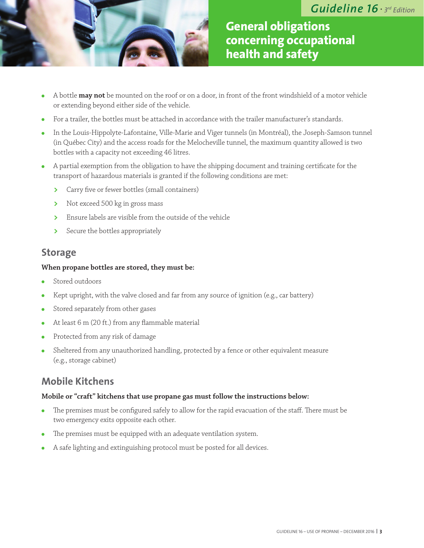

**General obligations concerning occupational health and safety**

- A bottle **may not** be mounted on the roof or on a door, in front of the front windshield of a motor vehicle  $\bullet$ or extending beyond either side of the vehicle.
- For a trailer, the bottles must be attached in accordance with the trailer manufacturer's standards.
- In the Louis-Hippolyte-Lafontaine, Ville-Marie and Viger tunnels (in Montréal), the Joseph-Samson tunnel (in Québec City) and the access roads for the Melocheville tunnel, the maximum quantity allowed is two bottles with a capacity not exceeding 46 litres.
- A partial exemption from the obligation to have the shipping document and training certificate for the transport of hazardous materials is granted if the following conditions are met:
	- **>** Carry five or fewer bottles (small containers)
	- **>** Not exceed 500 kg in gross mass
	- **>** Ensure labels are visible from the outside of the vehicle
	- **>** Secure the bottles appropriately

### **Storage**

#### **When propane bottles are stored, they must be:**

- Stored outdoors
- Kept upright, with the valve closed and far from any source of ignition (e.g., car battery)  $\bullet$
- Stored separately from other gases  $\bullet$
- At least 6 m (20 ft.) from any flammable material  $\bullet$
- Protected from any risk of damage  $\bullet$
- Sheltered from any unauthorized handling, protected by a fence or other equivalent measure (e.g., storage cabinet)

### **Mobile Kitchens**

### **Mobile or "craft" kitchens that use propane gas must follow the instructions below:**

- The premises must be configured safely to allow for the rapid evacuation of the staff. There must be  $\bullet$ two emergency exits opposite each other.
- The premises must be equipped with an adequate ventilation system.
- A safe lighting and extinguishing protocol must be posted for all devices.